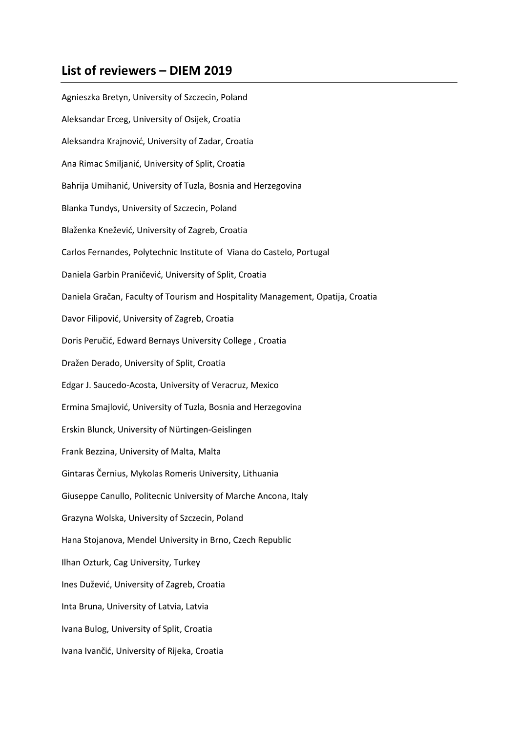## **List of reviewers – DIEM 2019**

Agnieszka Bretyn, University of Szczecin, Poland Aleksandar Erceg, University of Osijek, Croatia Aleksandra Krajnović, University of Zadar, Croatia Ana Rimac Smiljanić, University of Split, Croatia Bahrija Umihanić, University of Tuzla, Bosnia and Herzegovina Blanka Tundys, University of Szczecin, Poland Blaženka Knežević, University of Zagreb, Croatia Carlos Fernandes, Polytechnic Institute of Viana do Castelo, Portugal Daniela Garbin Praničević, University of Split, Croatia Daniela Gračan, Faculty of Tourism and Hospitality Management, Opatija, Croatia Davor Filipović, University of Zagreb, Croatia Doris Peručić, Edward Bernays University College , Croatia Dražen Derado, University of Split, Croatia Edgar J. Saucedo-Acosta, University of Veracruz, Mexico Ermina Smajlović, University of Tuzla, Bosnia and Herzegovina Erskin Blunck, University of Nürtingen-Geislingen Frank Bezzina, University of Malta, Malta Gintaras Černius, Mykolas Romeris University, Lithuania Giuseppe Canullo, Politecnic University of Marche Ancona, Italy Grazyna Wolska, University of Szczecin, Poland Hana Stojanova, Mendel University in Brno, Czech Republic Ilhan Ozturk, Cag University, Turkey Ines Dužević, University of Zagreb, Croatia Inta Bruna, University of Latvia, Latvia Ivana Bulog, University of Split, Croatia Ivana Ivančić, University of Rijeka, Croatia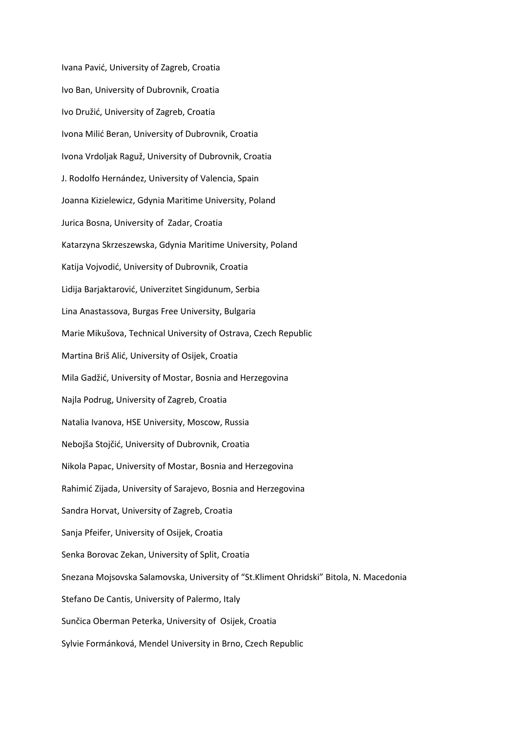Ivana Pavić, University of Zagreb, Croatia Ivo Ban, University of Dubrovnik, Croatia Ivo Družić, University of Zagreb, Croatia Ivona Milić Beran, University of Dubrovnik, Croatia Ivona Vrdoljak Raguž, University of Dubrovnik, Croatia J. Rodolfo Hernández, University of Valencia, Spain Joanna Kizielewicz, Gdynia Maritime University, Poland Jurica Bosna, University of Zadar, Croatia Katarzyna Skrzeszewska, Gdynia Maritime University, Poland Katija Vojvodić, University of Dubrovnik, Croatia Lidija Barjaktarović, Univerzitet Singidunum, Serbia Lina Anastassova, Burgas Free University, Bulgaria Marie Mikušova, Technical University of Ostrava, Czech Republic Martina Briš Alić, University of Osijek, Croatia Mila Gadžić, University of Mostar, Bosnia and Herzegovina Najla Podrug, University of Zagreb, Croatia Natalia Ivanova, HSE University, Moscow, Russia Nebojša Stojčić, University of Dubrovnik, Croatia Nikola Papac, University of Mostar, Bosnia and Herzegovina Rahimić Zijada, University of Sarajevo, Bosnia and Herzegovina Sandra Horvat, University of Zagreb, Croatia Sanja Pfeifer, University of Osijek, Croatia Senka Borovac Zekan, University of Split, Croatia Snezana Mojsovska Salamovska, University of "St.Kliment Ohridski" Bitola, N. Macedonia Stefano De Cantis, University of Palermo, Italy Sunčica Oberman Peterka, University of Osijek, Croatia Sylvie Formánková, Mendel University in Brno, Czech Republic